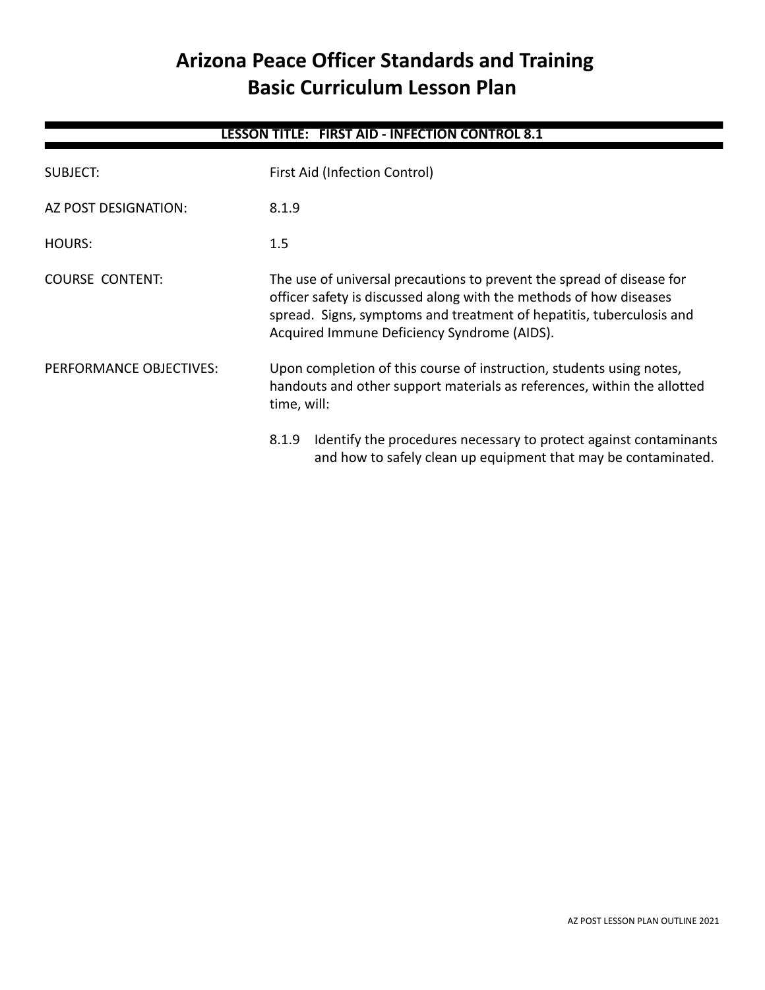# **Arizona Peace Officer Standards and Training Basic Curriculum Lesson Plan**

| <b>LESSON TITLE: FIRST AID - INFECTION CONTROL 8.1</b> |                                                                                                                                                                                                                                                                    |  |
|--------------------------------------------------------|--------------------------------------------------------------------------------------------------------------------------------------------------------------------------------------------------------------------------------------------------------------------|--|
| SUBJECT:                                               | First Aid (Infection Control)                                                                                                                                                                                                                                      |  |
| AZ POST DESIGNATION:                                   | 8.1.9                                                                                                                                                                                                                                                              |  |
| HOURS:                                                 | $1.5\,$                                                                                                                                                                                                                                                            |  |
| <b>COURSE CONTENT:</b>                                 | The use of universal precautions to prevent the spread of disease for<br>officer safety is discussed along with the methods of how diseases<br>spread. Signs, symptoms and treatment of hepatitis, tuberculosis and<br>Acquired Immune Deficiency Syndrome (AIDS). |  |
| PERFORMANCE OBJECTIVES:                                | Upon completion of this course of instruction, students using notes,<br>handouts and other support materials as references, within the allotted<br>time, will:                                                                                                     |  |
|                                                        | Identify the procedures necessary to protect against contaminants<br>8.1.9<br>and how to safely clean up equipment that may be contaminated.                                                                                                                       |  |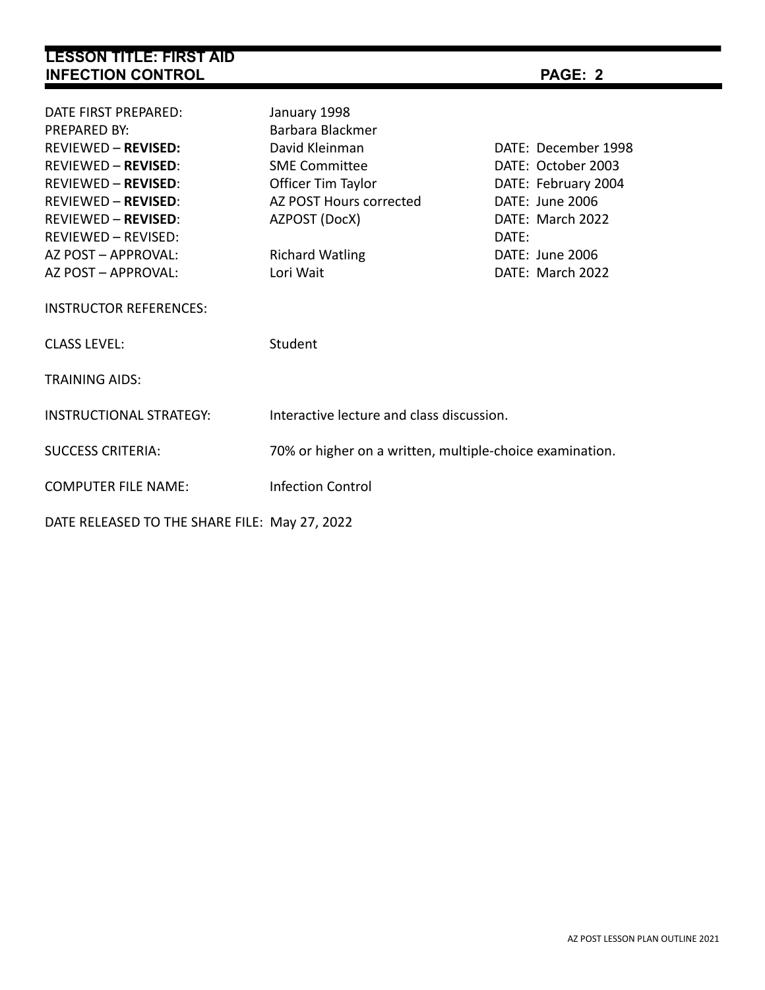| <b>LESSON TITLE: FIRST AID</b><br><b>INFECTION CONTROL</b>                                                                                                                                                               |                                                                                                                                              | PAGE: 2                                                                                                          |
|--------------------------------------------------------------------------------------------------------------------------------------------------------------------------------------------------------------------------|----------------------------------------------------------------------------------------------------------------------------------------------|------------------------------------------------------------------------------------------------------------------|
| DATE FIRST PREPARED:<br><b>PREPARED BY:</b><br><b>REVIEWED - REVISED:</b><br><b>REVIEWED - REVISED:</b><br><b>REVIEWED - REVISED:</b><br><b>REVIEWED - REVISED:</b><br><b>REVIEWED - REVISED:</b><br>REVIEWED - REVISED: | January 1998<br>Barbara Blackmer<br>David Kleinman<br><b>SME Committee</b><br>Officer Tim Taylor<br>AZ POST Hours corrected<br>AZPOST (DocX) | DATE: December 1998<br>DATE: October 2003<br>DATE: February 2004<br>DATE: June 2006<br>DATE: March 2022<br>DATE: |
| AZ POST - APPROVAL:<br>AZ POST - APPROVAL:                                                                                                                                                                               | <b>Richard Watling</b><br>Lori Wait                                                                                                          | DATE: June 2006<br>DATE: March 2022                                                                              |
| <b>INSTRUCTOR REFERENCES:</b><br><b>CLASS LEVEL:</b>                                                                                                                                                                     | Student                                                                                                                                      |                                                                                                                  |
| <b>TRAINING AIDS:</b><br><b>INSTRUCTIONAL STRATEGY:</b>                                                                                                                                                                  | Interactive lecture and class discussion.                                                                                                    |                                                                                                                  |
| <b>SUCCESS CRITERIA:</b>                                                                                                                                                                                                 | 70% or higher on a written, multiple-choice examination.                                                                                     |                                                                                                                  |
| <b>COMPUTER FILE NAME:</b><br>DATE RELEASED TO THE SHARE FILE: May 27, 2022                                                                                                                                              | <b>Infection Control</b>                                                                                                                     |                                                                                                                  |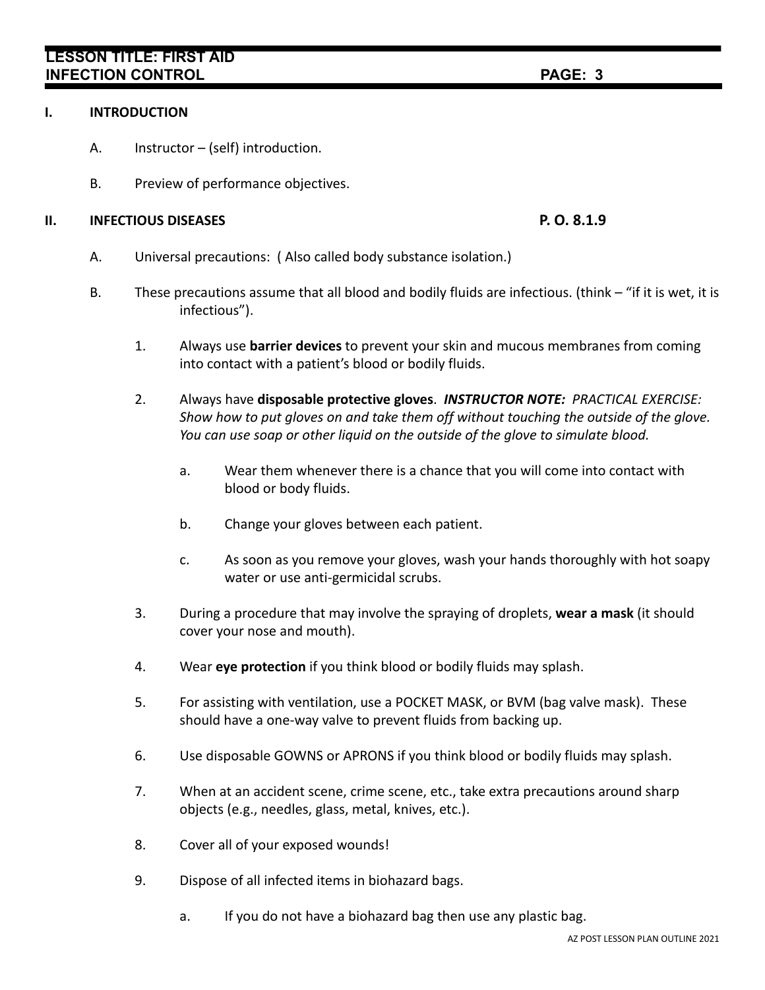# **LESSON TITLE: FIRST AID INFECTION CONTROL PAGE: 3**

## **I. INTRODUCTION**

- A. Instructor (self) introduction.
- B. Preview of performance objectives.

## **II. INFECTIOUS DISEASES P. O. 8.1.9**

- A. Universal precautions: ( Also called body substance isolation.)
- B. These precautions assume that all blood and bodily fluids are infectious. (think "if it is wet, it is infectious").
	- 1. Always use **barrier devices** to prevent your skin and mucous membranes from coming into contact with a patient's blood or bodily fluids.
	- 2. Always have **disposable protective gloves**. *INSTRUCTOR NOTE: PRACTICAL EXERCISE: Show how to put gloves on and take them off without touching the outside of the glove. You can use soap or other liquid on the outside of the glove to simulate blood.*
		- a. Wear them whenever there is a chance that you will come into contact with blood or body fluids.
		- b. Change your gloves between each patient.
		- c. As soon as you remove your gloves, wash your hands thoroughly with hot soapy water or use anti-germicidal scrubs.
	- 3. During a procedure that may involve the spraying of droplets, **wear a mask** (it should cover your nose and mouth).
	- 4. Wear **eye protection** if you think blood or bodily fluids may splash.
	- 5. For assisting with ventilation, use a POCKET MASK, or BVM (bag valve mask). These should have a one-way valve to prevent fluids from backing up.
	- 6. Use disposable GOWNS or APRONS if you think blood or bodily fluids may splash.
	- 7. When at an accident scene, crime scene, etc., take extra precautions around sharp objects (e.g., needles, glass, metal, knives, etc.).
	- 8. Cover all of your exposed wounds!
	- 9. Dispose of all infected items in biohazard bags.
		- a. If you do not have a biohazard bag then use any plastic bag.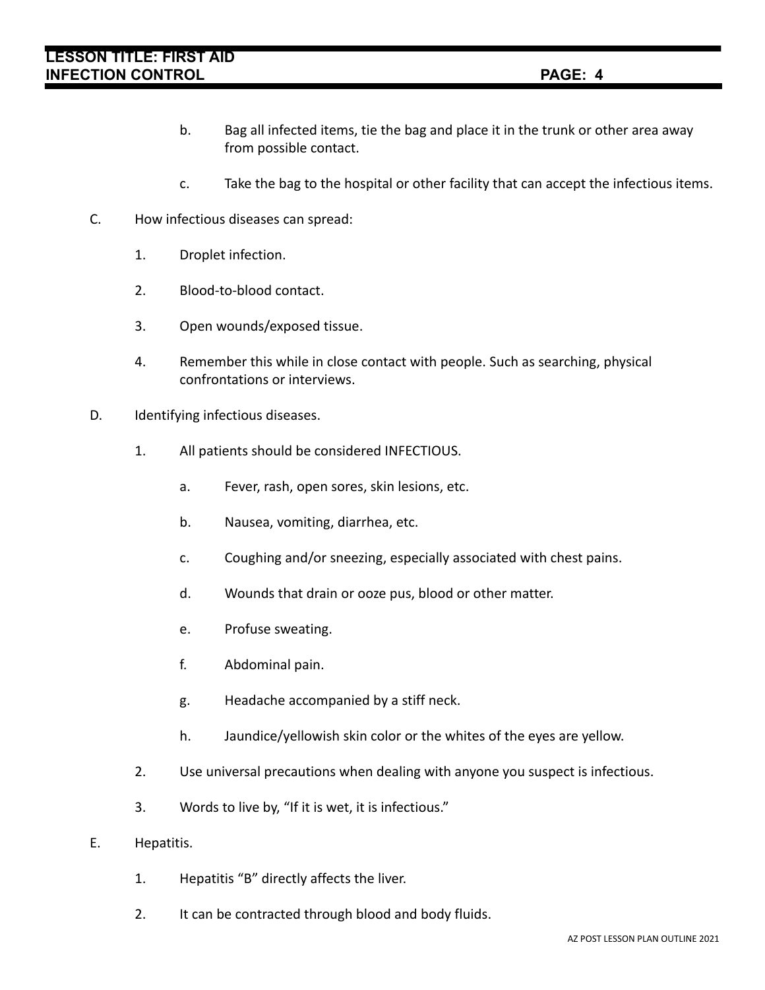# **LESSON TITLE: FIRST AID INFECTION CONTROL PAGE: 4**

- b. Bag all infected items, tie the bag and place it in the trunk or other area away from possible contact.
- c. Take the bag to the hospital or other facility that can accept the infectious items.
- C. How infectious diseases can spread:
	- 1. Droplet infection.
	- 2. Blood-to-blood contact.
	- 3. Open wounds/exposed tissue.
	- 4. Remember this while in close contact with people. Such as searching, physical confrontations or interviews.
- D. Identifying infectious diseases.
	- 1. All patients should be considered INFECTIOUS.
		- a. Fever, rash, open sores, skin lesions, etc.
		- b. Nausea, vomiting, diarrhea, etc.
		- c. Coughing and/or sneezing, especially associated with chest pains.
		- d. Wounds that drain or ooze pus, blood or other matter.
		- e. Profuse sweating.
		- f. Abdominal pain.
		- g. Headache accompanied by a stiff neck.
		- h. Jaundice/yellowish skin color or the whites of the eyes are yellow.
	- 2. Use universal precautions when dealing with anyone you suspect is infectious.
	- 3. Words to live by, "If it is wet, it is infectious."
- E. Hepatitis.
	- 1. Hepatitis "B" directly affects the liver.
	- 2. It can be contracted through blood and body fluids.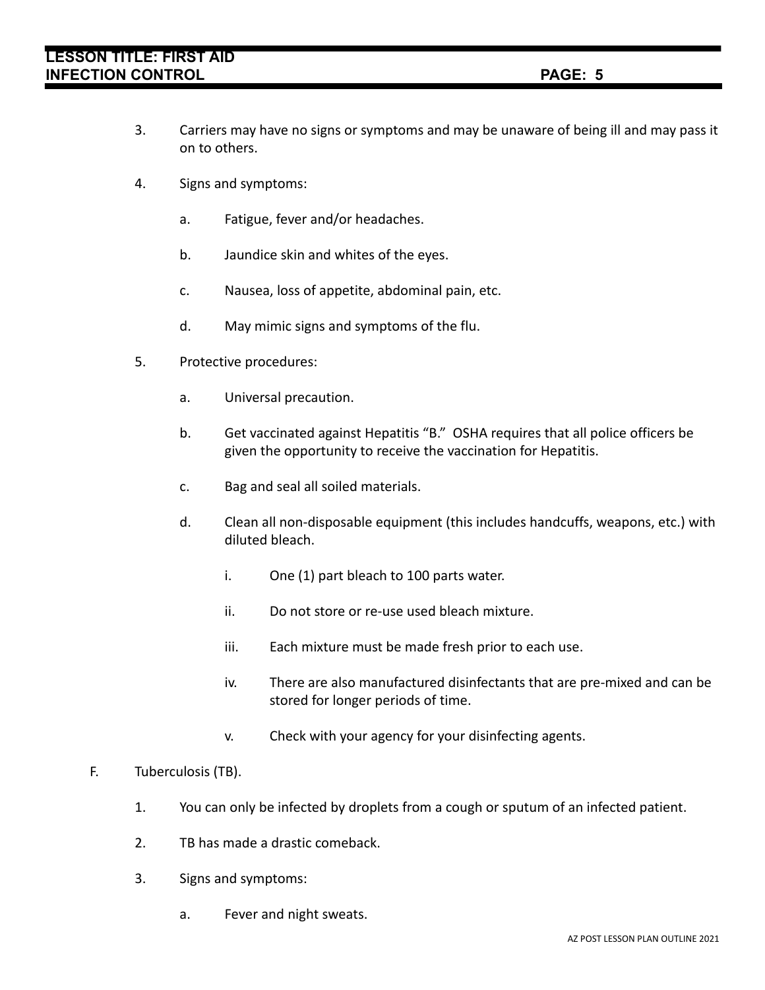- 3. Carriers may have no signs or symptoms and may be unaware of being ill and may pass it on to others.
- 4. Signs and symptoms:
	- a. Fatigue, fever and/or headaches.
	- b. Jaundice skin and whites of the eyes.
	- c. Nausea, loss of appetite, abdominal pain, etc.
	- d. May mimic signs and symptoms of the flu.
- 5. Protective procedures:
	- a. Universal precaution.
	- b. Get vaccinated against Hepatitis "B." OSHA requires that all police officers be given the opportunity to receive the vaccination for Hepatitis.
	- c. Bag and seal all soiled materials.
	- d. Clean all non-disposable equipment (this includes handcuffs, weapons, etc.) with diluted bleach.
		- i. One (1) part bleach to 100 parts water.
		- ii. Do not store or re-use used bleach mixture.
		- iii. Each mixture must be made fresh prior to each use.
		- iv. There are also manufactured disinfectants that are pre-mixed and can be stored for longer periods of time.
		- v. Check with your agency for your disinfecting agents.

## F. Tuberculosis (TB).

- 1. You can only be infected by droplets from a cough or sputum of an infected patient.
- 2. TB has made a drastic comeback.
- 3. Signs and symptoms:
	- a. Fever and night sweats.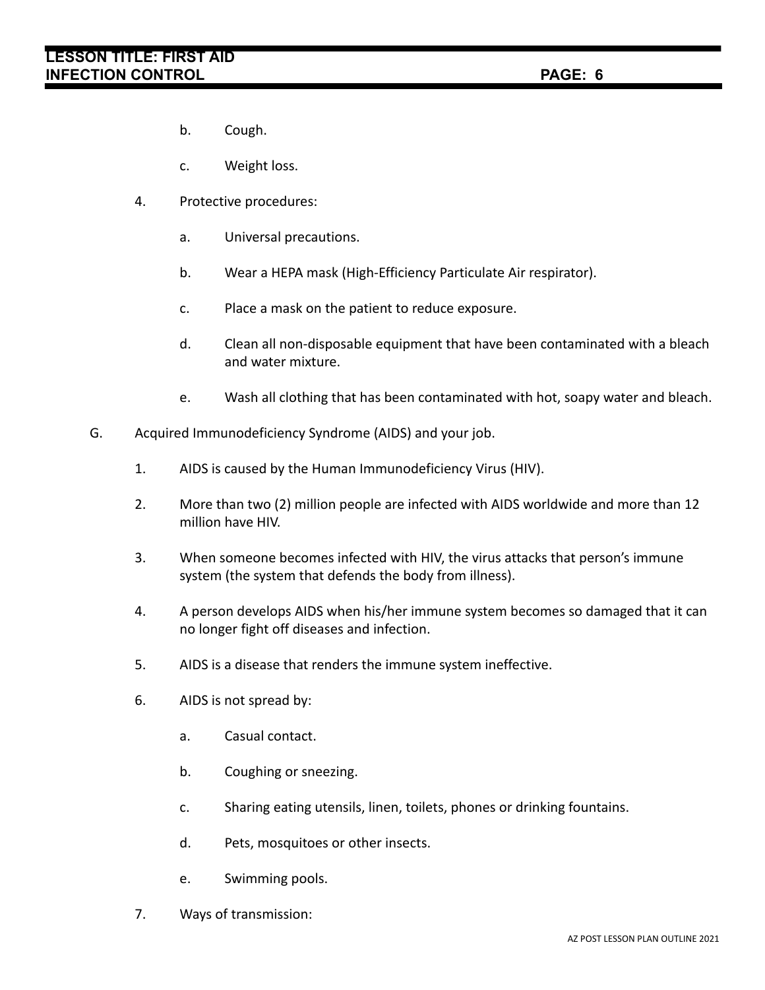- b. Cough.
- c. Weight loss.
- 4. Protective procedures:
	- a. Universal precautions.
	- b. Wear a HEPA mask (High-Efficiency Particulate Air respirator).
	- c. Place a mask on the patient to reduce exposure.
	- d. Clean all non-disposable equipment that have been contaminated with a bleach and water mixture.
	- e. Wash all clothing that has been contaminated with hot, soapy water and bleach.
- G. Acquired Immunodeficiency Syndrome (AIDS) and your job.
	- 1. AIDS is caused by the Human Immunodeficiency Virus (HIV).
	- 2. More than two (2) million people are infected with AIDS worldwide and more than 12 million have HIV.
	- 3. When someone becomes infected with HIV, the virus attacks that person's immune system (the system that defends the body from illness).
	- 4. A person develops AIDS when his/her immune system becomes so damaged that it can no longer fight off diseases and infection.
	- 5. AIDS is a disease that renders the immune system ineffective.
	- 6. AIDS is not spread by:
		- a. Casual contact.
		- b. Coughing or sneezing.
		- c. Sharing eating utensils, linen, toilets, phones or drinking fountains.
		- d. Pets, mosquitoes or other insects.
		- e. Swimming pools.
	- 7. Ways of transmission: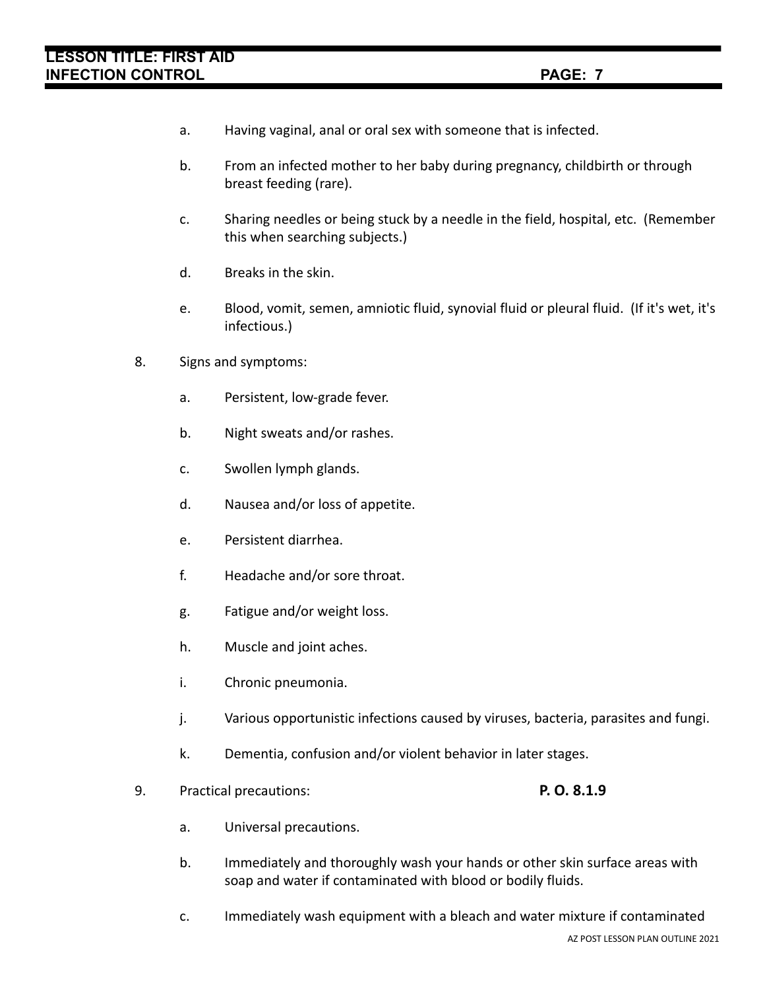- a. Having vaginal, anal or oral sex with someone that is infected.
- b. From an infected mother to her baby during pregnancy, childbirth or through breast feeding (rare).
- c. Sharing needles or being stuck by a needle in the field, hospital, etc. (Remember this when searching subjects.)
- d. Breaks in the skin.
- e. Blood, vomit, semen, amniotic fluid, synovial fluid or pleural fluid. (If it's wet, it's infectious.)
- 8. Signs and symptoms:
	- a. Persistent, low-grade fever.
	- b. Night sweats and/or rashes.
	- c. Swollen lymph glands.
	- d. Nausea and/or loss of appetite.
	- e. Persistent diarrhea.
	- f. Headache and/or sore throat.
	- g. Fatigue and/or weight loss.
	- h. Muscle and joint aches.
	- i. Chronic pneumonia.
	- j. Various opportunistic infections caused by viruses, bacteria, parasites and fungi.
	- k. Dementia, confusion and/or violent behavior in later stages.
- 9. Practical precautions: **P. O. 8.1.9**

- a. Universal precautions.
- b. Immediately and thoroughly wash your hands or other skin surface areas with soap and water if contaminated with blood or bodily fluids.
- c. Immediately wash equipment with a bleach and water mixture if contaminated